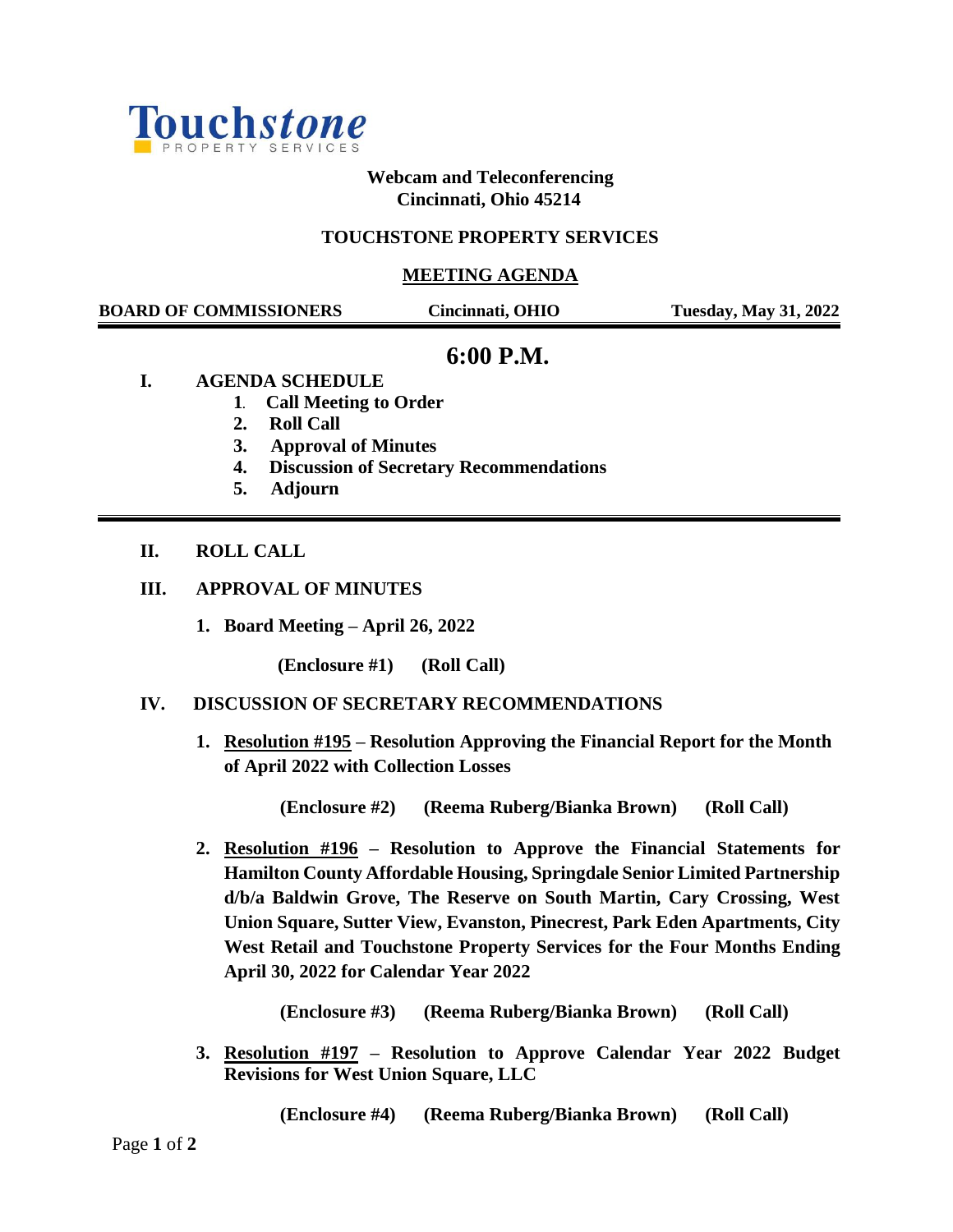

**Webcam and Teleconferencing Cincinnati, Ohio 45214**

## **TOUCHSTONE PROPERTY SERVICES**

#### **MEETING AGENDA**

 **BOARD OF COMMISSIONERS Cincinnati, OHIO Tuesday, May 31, 2022**

# **6:00 P.M.**

- **I. AGENDA SCHEDULE**
	- **1. Call Meeting to Order**
	- **2. Roll Call**
	- **3. Approval of Minutes**
	- **4. Discussion of Secretary Recommendations**
	- **5. Adjourn**

# **II. ROLL CALL**

## **III. APPROVAL OF MINUTES**

**1. Board Meeting – April 26, 2022**

**(Enclosure #1) (Roll Call)**

#### **IV. DISCUSSION OF SECRETARY RECOMMENDATIONS**

**1. Resolution #195 – Resolution Approving the Financial Report for the Month of April 2022 with Collection Losses**

**(Enclosure #2) (Reema Ruberg/Bianka Brown) (Roll Call)**

**2. Resolution #196 – Resolution to Approve the Financial Statements for Hamilton County Affordable Housing, Springdale Senior Limited Partnership d/b/a Baldwin Grove, The Reserve on South Martin, Cary Crossing, West Union Square, Sutter View, Evanston, Pinecrest, Park Eden Apartments, City West Retail and Touchstone Property Services for the Four Months Ending April 30, 2022 for Calendar Year 2022**

**(Enclosure #3) (Reema Ruberg/Bianka Brown) (Roll Call)**

**3. Resolution #197 – Resolution to Approve Calendar Year 2022 Budget Revisions for West Union Square, LLC**

 **(Enclosure #4) (Reema Ruberg/Bianka Brown) (Roll Call)**